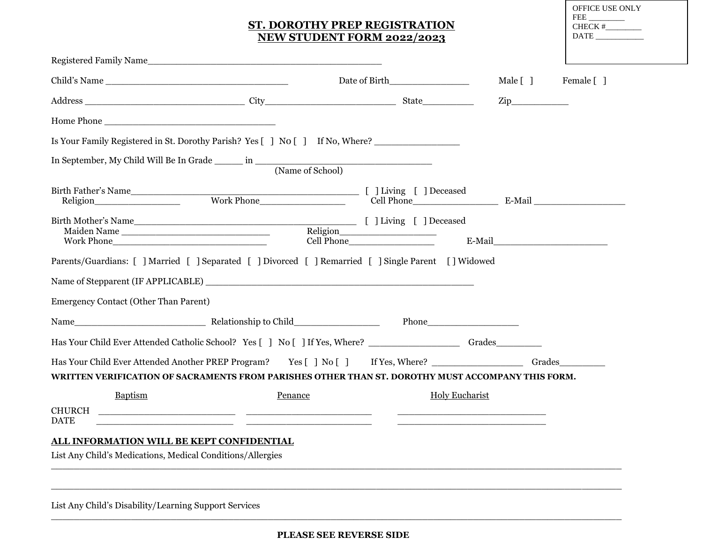# **ST. DOROTHY PREP REGISTRATION NEW STUDENT FORM 2022/2023**

| OFFICE USE ONLY |
|-----------------|
| FEE             |
| CHECK #         |
| DATE            |
|                 |
|                 |

| Date of Birth<br>Is Your Family Registered in St. Dorothy Parish? Yes [ ] No [ ] If No, Where?<br>Birth Mother's Name<br>Maiden Name<br>Work Phone<br>Mothe Phone<br>Mothe Phone<br>Mothe Phone<br>Cell Phone<br>Cell Phone<br>Parents/Guardians: [ ] Married [ ] Separated [ ] Divorced [ ] Remarried [ ] Single Parent [ ] Widowed | Male [ ]<br>Female [ ]<br>$\mathsf{Zip}\qquad \qquad \qquad$<br>E-Mail                                                                                                                                                                                                                                                                                                                                                    |
|--------------------------------------------------------------------------------------------------------------------------------------------------------------------------------------------------------------------------------------------------------------------------------------------------------------------------------------|---------------------------------------------------------------------------------------------------------------------------------------------------------------------------------------------------------------------------------------------------------------------------------------------------------------------------------------------------------------------------------------------------------------------------|
|                                                                                                                                                                                                                                                                                                                                      |                                                                                                                                                                                                                                                                                                                                                                                                                           |
|                                                                                                                                                                                                                                                                                                                                      |                                                                                                                                                                                                                                                                                                                                                                                                                           |
|                                                                                                                                                                                                                                                                                                                                      |                                                                                                                                                                                                                                                                                                                                                                                                                           |
|                                                                                                                                                                                                                                                                                                                                      |                                                                                                                                                                                                                                                                                                                                                                                                                           |
|                                                                                                                                                                                                                                                                                                                                      |                                                                                                                                                                                                                                                                                                                                                                                                                           |
|                                                                                                                                                                                                                                                                                                                                      |                                                                                                                                                                                                                                                                                                                                                                                                                           |
|                                                                                                                                                                                                                                                                                                                                      |                                                                                                                                                                                                                                                                                                                                                                                                                           |
|                                                                                                                                                                                                                                                                                                                                      |                                                                                                                                                                                                                                                                                                                                                                                                                           |
|                                                                                                                                                                                                                                                                                                                                      |                                                                                                                                                                                                                                                                                                                                                                                                                           |
|                                                                                                                                                                                                                                                                                                                                      |                                                                                                                                                                                                                                                                                                                                                                                                                           |
|                                                                                                                                                                                                                                                                                                                                      |                                                                                                                                                                                                                                                                                                                                                                                                                           |
|                                                                                                                                                                                                                                                                                                                                      |                                                                                                                                                                                                                                                                                                                                                                                                                           |
|                                                                                                                                                                                                                                                                                                                                      | Grades                                                                                                                                                                                                                                                                                                                                                                                                                    |
|                                                                                                                                                                                                                                                                                                                                      |                                                                                                                                                                                                                                                                                                                                                                                                                           |
| <b>Holy Eucharist</b><br><u> Andreas Andreas Andreas Andreas Andreas Andreas Andreas Andreas Andreas Andreas Andreas Andreas Andreas Andreas</u>                                                                                                                                                                                     |                                                                                                                                                                                                                                                                                                                                                                                                                           |
|                                                                                                                                                                                                                                                                                                                                      |                                                                                                                                                                                                                                                                                                                                                                                                                           |
|                                                                                                                                                                                                                                                                                                                                      | Name of Stepparent (IF APPLICABLE)<br>Has Your Child Ever Attended Catholic School? Yes [ ] No [ ] If Yes, Where? _______________________ Grades____________<br>Has Your Child Ever Attended Another PREP Program? Yes [ ] No [ ] If Yes, Where?<br>WRITTEN VERIFICATION OF SACRAMENTS FROM PARISHES OTHER THAN ST. DOROTHY MUST ACCOMPANY THIS FORM.<br><u> 1990 - Jan James James Barnett, fransk politik (d. 1980)</u> |

List Any Child's Disability/Learning Support Services

\_\_\_\_\_\_\_\_\_\_\_\_\_\_\_\_\_\_\_\_\_\_\_\_\_\_\_\_\_\_\_\_\_\_\_\_\_\_\_\_\_\_\_\_\_\_\_\_\_\_\_\_\_\_\_\_\_\_\_\_\_\_\_\_\_\_\_\_\_\_\_\_\_\_\_\_\_\_\_\_\_\_\_\_\_\_\_\_\_\_\_\_\_\_\_\_\_\_\_\_